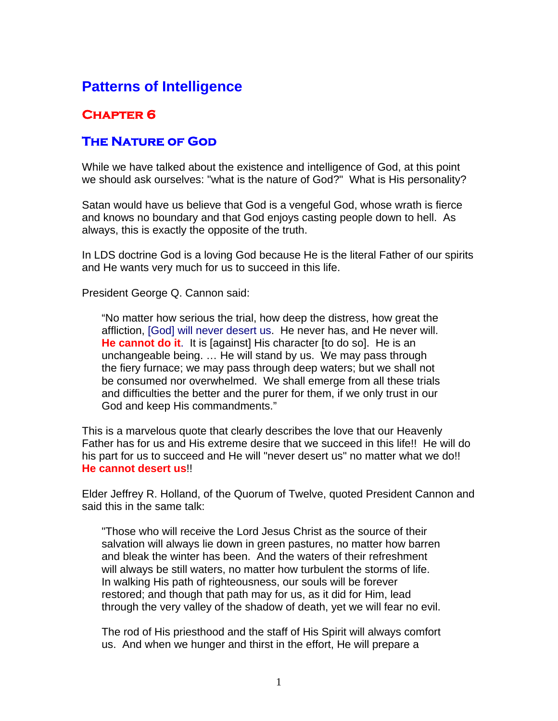## **Patterns of Intelligence**

## **Chapter 6**

## **The Nature of God**

While we have talked about the existence and intelligence of God, at this point we should ask ourselves: "what is the nature of God?" What is His personality?

Satan would have us believe that God is a vengeful God, whose wrath is fierce and knows no boundary and that God enjoys casting people down to hell. As always, this is exactly the opposite of the truth.

In LDS doctrine God is a loving God because He is the literal Father of our spirits and He wants very much for us to succeed in this life.

President George Q. Cannon said:

"No matter how serious the trial, how deep the distress, how great the affliction, [God] will never desert us. He never has, and He never will. **He cannot do it**. It is [against] His character [to do so]. He is an unchangeable being. … He will stand by us. We may pass through the fiery furnace; we may pass through deep waters; but we shall not be consumed nor overwhelmed. We shall emerge from all these trials and difficulties the better and the purer for them, if we only trust in our God and keep His commandments."

This is a marvelous quote that clearly describes the love that our Heavenly Father has for us and His extreme desire that we succeed in this life!! He will do his part for us to succeed and He will "never desert us" no matter what we do!! **He cannot desert us**!!

Elder Jeffrey R. Holland, of the Quorum of Twelve, quoted President Cannon and said this in the same talk:

"Those who will receive the Lord Jesus Christ as the source of their salvation will always lie down in green pastures, no matter how barren and bleak the winter has been. And the waters of their refreshment will always be still waters, no matter how turbulent the storms of life. In walking His path of righteousness, our souls will be forever restored; and though that path may for us, as it did for Him, lead through the very valley of the shadow of death, yet we will fear no evil.

The rod of His priesthood and the staff of His Spirit will always comfort us. And when we hunger and thirst in the effort, He will prepare a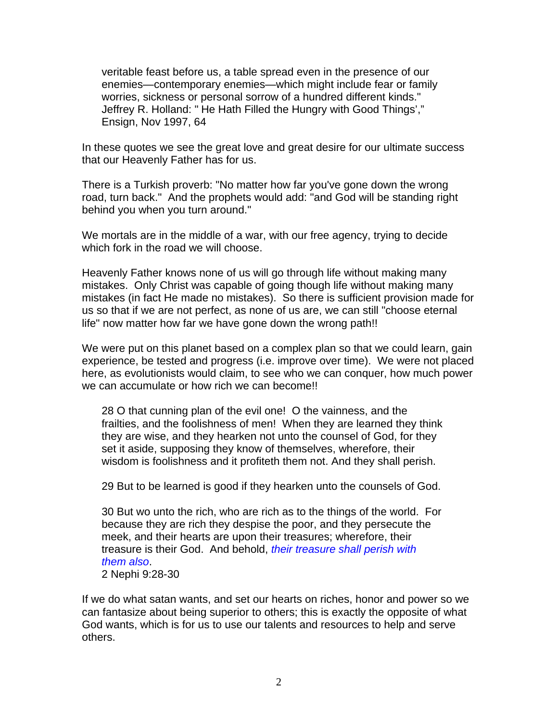veritable feast before us, a table spread even in the presence of our enemies—contemporary enemies—which might include fear or family worries, sickness or personal sorrow of a hundred different kinds." Jeffrey R. Holland: " He Hath Filled the Hungry with Good Things'," Ensign, Nov 1997, 64

In these quotes we see the great love and great desire for our ultimate success that our Heavenly Father has for us.

There is a Turkish proverb: "No matter how far you've gone down the wrong road, turn back." And the prophets would add: "and God will be standing right behind you when you turn around."

We mortals are in the middle of a war, with our free agency, trying to decide which fork in the road we will choose.

Heavenly Father knows none of us will go through life without making many mistakes. Only Christ was capable of going though life without making many mistakes (in fact He made no mistakes). So there is sufficient provision made for us so that if we are not perfect, as none of us are, we can still "choose eternal life" now matter how far we have gone down the wrong path!!

We were put on this planet based on a complex plan so that we could learn, gain experience, be tested and progress (i.e. improve over time). We were not placed here, as evolutionists would claim, to see who we can conquer, how much power we can accumulate or how rich we can become!!

28 O that cunning plan of the evil one! O the vainness, and the frailties, and the foolishness of men! When they are learned they think they are wise, and they hearken not unto the counsel of God, for they set it aside, supposing they know of themselves, wherefore, their wisdom is foolishness and it profiteth them not. And they shall perish.

29 But to be learned is good if they hearken unto the counsels of God.

30 But wo unto the rich, who are rich as to the things of the world. For because they are rich they despise the poor, and they persecute the meek, and their hearts are upon their treasures; wherefore, their treasure is their God. And behold, *their treasure shall perish with them also*.

2 Nephi 9:28-30

If we do what satan wants, and set our hearts on riches, honor and power so we can fantasize about being superior to others; this is exactly the opposite of what God wants, which is for us to use our talents and resources to help and serve others.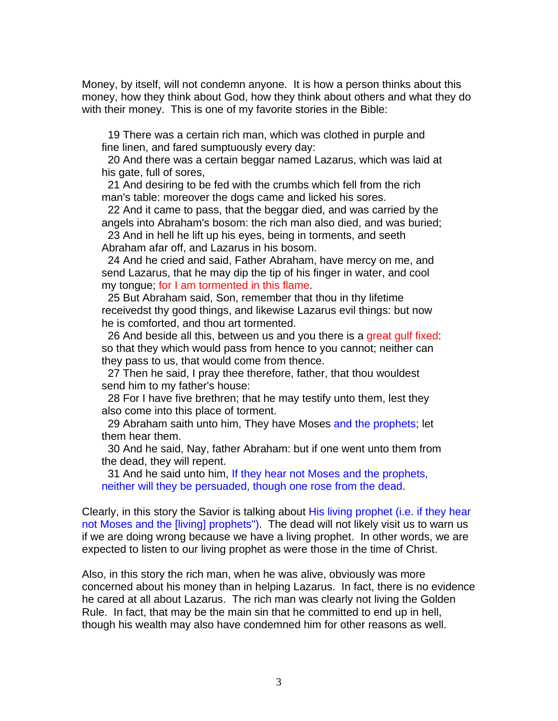Money, by itself, will not condemn anyone. It is how a person thinks about this money, how they think about God, how they think about others and what they do with their money. This is one of my favorite stories in the Bible:

 19 There was a certain rich man, which was clothed in purple and fine linen, and fared sumptuously every day:

 20 And there was a certain beggar named Lazarus, which was laid at his gate, full of sores,

 21 And desiring to be fed with the crumbs which fell from the rich man's table: moreover the dogs came and licked his sores.

 22 And it came to pass, that the beggar died, and was carried by the angels into Abraham's bosom: the rich man also died, and was buried;

 23 And in hell he lift up his eyes, being in torments, and seeth Abraham afar off, and Lazarus in his bosom.

 24 And he cried and said, Father Abraham, have mercy on me, and send Lazarus, that he may dip the tip of his finger in water, and cool my tongue; for I am tormented in this flame.

 25 But Abraham said, Son, remember that thou in thy lifetime receivedst thy good things, and likewise Lazarus evil things: but now he is comforted, and thou art tormented.

 26 And beside all this, between us and you there is a great gulf fixed: so that they which would pass from hence to you cannot; neither can they pass to us, that would come from thence.

 27 Then he said, I pray thee therefore, father, that thou wouldest send him to my father's house:

 28 For I have five brethren; that he may testify unto them, lest they also come into this place of torment.

29 Abraham saith unto him, They have Moses and the prophets; let them hear them.

 30 And he said, Nay, father Abraham: but if one went unto them from the dead, they will repent.

 31 And he said unto him, If they hear not Moses and the prophets, neither will they be persuaded, though one rose from the dead.

Clearly, in this story the Savior is talking about His living prophet (i.e. if they hear not Moses and the [living] prophets"). The dead will not likely visit us to warn us if we are doing wrong because we have a living prophet. In other words, we are expected to listen to our living prophet as were those in the time of Christ.

Also, in this story the rich man, when he was alive, obviously was more concerned about his money than in helping Lazarus. In fact, there is no evidence he cared at all about Lazarus. The rich man was clearly not living the Golden Rule. In fact, that may be the main sin that he committed to end up in hell, though his wealth may also have condemned him for other reasons as well.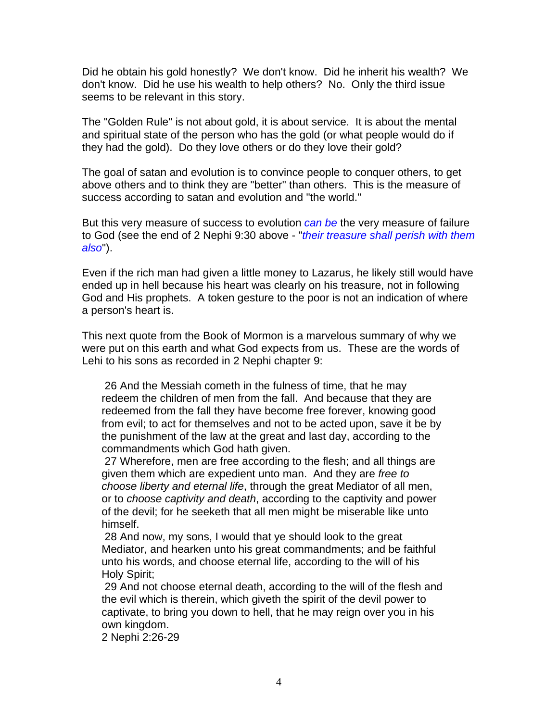Did he obtain his gold honestly? We don't know. Did he inherit his wealth? We don't know. Did he use his wealth to help others? No. Only the third issue seems to be relevant in this story.

The "Golden Rule" is not about gold, it is about service. It is about the mental and spiritual state of the person who has the gold (or what people would do if they had the gold). Do they love others or do they love their gold?

The goal of satan and evolution is to convince people to conquer others, to get above others and to think they are "better" than others. This is the measure of success according to satan and evolution and "the world."

But this very measure of success to evolution *can be* the very measure of failure to God (see the end of 2 Nephi 9:30 above - "*their treasure shall perish with them also*").

Even if the rich man had given a little money to Lazarus, he likely still would have ended up in hell because his heart was clearly on his treasure, not in following God and His prophets. A token gesture to the poor is not an indication of where a person's heart is.

This next quote from the Book of Mormon is a marvelous summary of why we were put on this earth and what God expects from us. These are the words of Lehi to his sons as recorded in 2 Nephi chapter 9:

 26 And the Messiah cometh in the fulness of time, that he may redeem the children of men from the fall. And because that they are redeemed from the fall they have become free forever, knowing good from evil; to act for themselves and not to be acted upon, save it be by the punishment of the law at the great and last day, according to the commandments which God hath given.

 27 Wherefore, men are free according to the flesh; and all things are given them which are expedient unto man. And they are *free to choose liberty and eternal life*, through the great Mediator of all men, or to *choose captivity and death*, according to the captivity and power of the devil; for he seeketh that all men might be miserable like unto himself.

 28 And now, my sons, I would that ye should look to the great Mediator, and hearken unto his great commandments; and be faithful unto his words, and choose eternal life, according to the will of his Holy Spirit;

 29 And not choose eternal death, according to the will of the flesh and the evil which is therein, which giveth the spirit of the devil power to captivate, to bring you down to hell, that he may reign over you in his own kingdom.

2 Nephi 2:26-29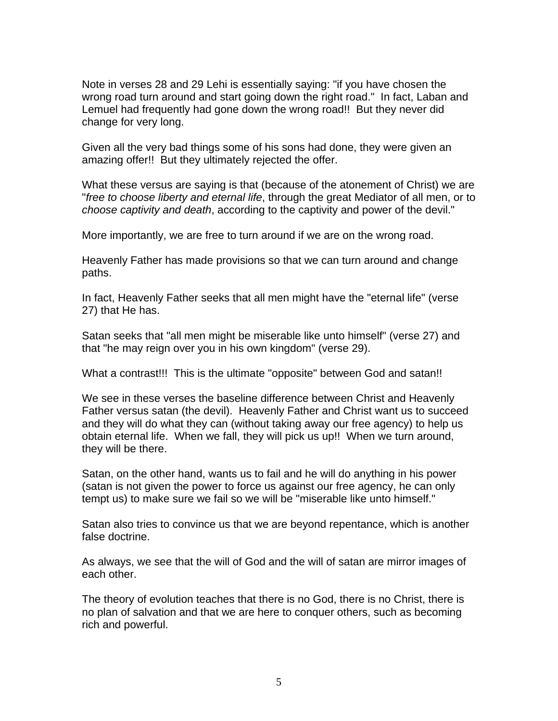Note in verses 28 and 29 Lehi is essentially saying: "if you have chosen the wrong road turn around and start going down the right road." In fact, Laban and Lemuel had frequently had gone down the wrong road!! But they never did change for very long.

Given all the very bad things some of his sons had done, they were given an amazing offer!! But they ultimately rejected the offer.

What these versus are saying is that (because of the atonement of Christ) we are "*free to choose liberty and eternal life*, through the great Mediator of all men, or to *choose captivity and death*, according to the captivity and power of the devil."

More importantly, we are free to turn around if we are on the wrong road.

Heavenly Father has made provisions so that we can turn around and change paths.

In fact, Heavenly Father seeks that all men might have the "eternal life" (verse 27) that He has.

Satan seeks that "all men might be miserable like unto himself" (verse 27) and that "he may reign over you in his own kingdom" (verse 29).

What a contrast!!! This is the ultimate "opposite" between God and satan!!

We see in these verses the baseline difference between Christ and Heavenly Father versus satan (the devil). Heavenly Father and Christ want us to succeed and they will do what they can (without taking away our free agency) to help us obtain eternal life. When we fall, they will pick us up!! When we turn around, they will be there.

Satan, on the other hand, wants us to fail and he will do anything in his power (satan is not given the power to force us against our free agency, he can only tempt us) to make sure we fail so we will be "miserable like unto himself."

Satan also tries to convince us that we are beyond repentance, which is another false doctrine.

As always, we see that the will of God and the will of satan are mirror images of each other.

The theory of evolution teaches that there is no God, there is no Christ, there is no plan of salvation and that we are here to conquer others, such as becoming rich and powerful.